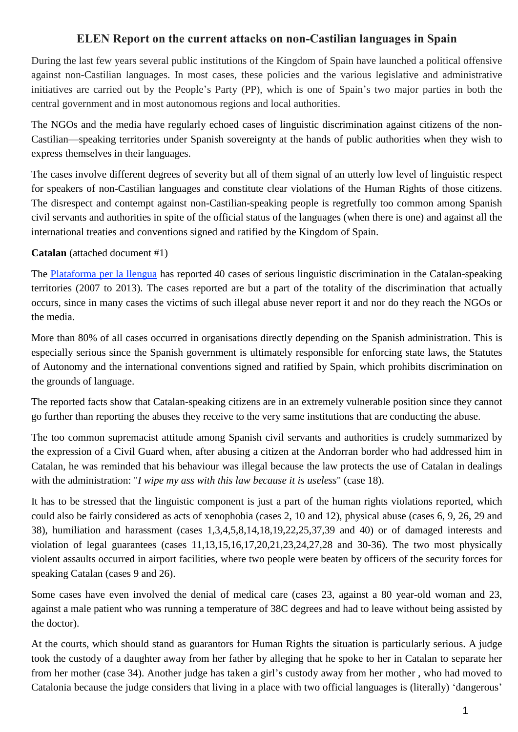# **ELEN Report on the current attacks on non-Castilian languages in Spain**

During the last few years several public institutions of the Kingdom of Spain have launched a political offensive against non-Castilian languages. In most cases, these policies and the various legislative and administrative initiatives are carried out by the People's Party (PP), which is one of Spain's two major parties in both the central government and in most autonomous regions and local authorities.

The NGOs and the media have regularly echoed cases of linguistic discrimination against citizens of the non-Castilian—speaking territories under Spanish sovereignty at the hands of public authorities when they wish to express themselves in their languages.

The cases involve different degrees of severity but all of them signal of an utterly low level of linguistic respect for speakers of non-Castilian languages and constitute clear violations of the Human Rights of those citizens. The disrespect and contempt against non-Castilian-speaking people is regretfully too common among Spanish civil servants and authorities in spite of the official status of the languages (when there is one) and against all the international treaties and conventions signed and ratified by the Kingdom of Spain.

#### **Catalan** (attached document #1)

The [Plataforma](https://www.plataforma-llengua.cat/) per la llengua has reported 40 cases of serious linguistic discrimination in the Catalan-speaking territories (2007 to 2013). The cases reported are but a part of the totality of the discrimination that actually occurs, since in many cases the victims of such illegal abuse never report it and nor do they reach the NGOs or the media.

More than 80% of all cases occurred in organisations directly depending on the Spanish administration. This is especially serious since the Spanish government is ultimately responsible for enforcing state laws, the Statutes of Autonomy and the international conventions signed and ratified by Spain, which prohibits discrimination on the grounds of language.

The reported facts show that Catalan-speaking citizens are in an extremely vulnerable position since they cannot go further than reporting the abuses they receive to the very same institutions that are conducting the abuse.

The too common supremacist attitude among Spanish civil servants and authorities is crudely summarized by the expression of a Civil Guard when, after abusing a citizen at the Andorran border who had addressed him in Catalan, he was reminded that his behaviour was illegal because the law protects the use of Catalan in dealings with the administration: "*I wipe my ass with this law because it is useless*" (case 18).

It has to be stressed that the linguistic component is just a part of the human rights violations reported, which could also be fairly considered as acts of xenophobia (cases 2, 10 and 12), physical abuse (cases 6, 9, 26, 29 and 38), humiliation and harassment (cases 1,3,4,5,8,14,18,19,22,25,37,39 and 40) or of damaged interests and violation of legal guarantees (cases 11,13,15,16,17,20,21,23,24,27,28 and 30-36). The two most physically violent assaults occurred in airport facilities, where two people were beaten by officers of the security forces for speaking Catalan (cases 9 and 26).

Some cases have even involved the denial of medical care (cases 23, against a 80 year-old woman and 23, against a male patient who was running a temperature of 38C degrees and had to leave without being assisted by the doctor).

At the courts, which should stand as guarantors for Human Rights the situation is particularly serious. A judge took the custody of a daughter away from her father by alleging that he spoke to her in Catalan to separate her from her mother (case 34). Another judge has taken a girl's custody away from her mother , who had moved to Catalonia because the judge considers that living in a place with two official languages is (literally) 'dangerous'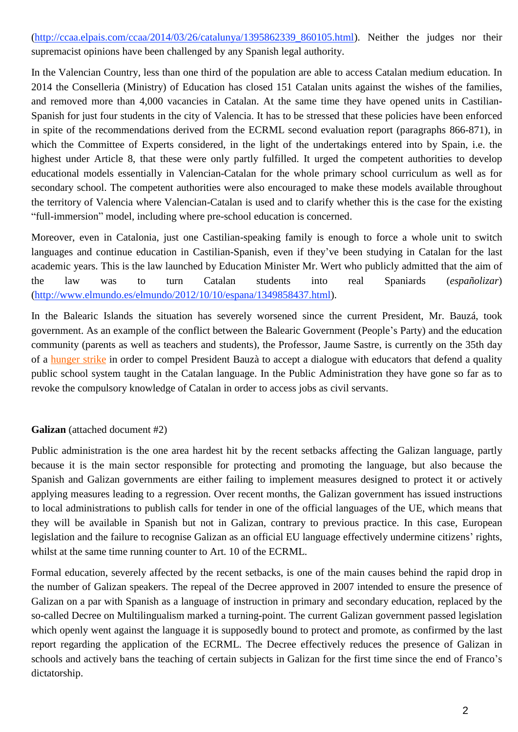[\(http://ccaa.elpais.com/ccaa/2014/03/26/catalunya/1395862339\\_860105.html\)](http://ccaa.elpais.com/ccaa/2014/03/26/catalunya/1395862339_860105.html). Neither the judges nor their supremacist opinions have been challenged by any Spanish legal authority.

In the Valencian Country, less than one third of the population are able to access Catalan medium education. In 2014 the Conselleria (Ministry) of Education has closed 151 Catalan units against the wishes of the families, and removed more than 4,000 vacancies in Catalan. At the same time they have opened units in Castilian-Spanish for just four students in the city of Valencia. It has to be stressed that these policies have been enforced in spite of the recommendations derived from the ECRML second evaluation report (paragraphs 866-871), in which the Committee of Experts considered, in the light of the undertakings entered into by Spain, i.e. the highest under Article 8, that these were only partly fulfilled. It urged the competent authorities to develop educational models essentially in Valencian-Catalan for the whole primary school curriculum as well as for secondary school. The competent authorities were also encouraged to make these models available throughout the territory of Valencia where Valencian-Catalan is used and to clarify whether this is the case for the existing "full-immersion" model, including where pre-school education is concerned.

Moreover, even in Catalonia, just one Castilian-speaking family is enough to force a whole unit to switch languages and continue education in Castilian-Spanish, even if they've been studying in Catalan for the last academic years. This is the law launched by Education Minister Mr. Wert who publicly admitted that the aim of the law was to turn Catalan students into real Spaniards (*españolizar*) [\(http://www.elmundo.es/elmundo/2012/10/10/espana/1349858437.html\)](http://www.elmundo.es/elmundo/2012/10/10/espana/1349858437.html).

In the Balearic Islands the situation has severely worsened since the current President, Mr. Bauzá, took government. As an example of the conflict between the Balearic Government (People's Party) and the education community (parents as well as teachers and students), the Professor, Jaume Sastre, is currently on the 35th day of a [hunger](http://www.vilaweb.cat/noticia/4194505/20140529/hunger-strike-for-catalan-language-education-goes-into-fourth-week.html) strike in order to compel President Bauzà to accept a dialogue with educators that defend a quality public school system taught in the Catalan language. In the Public Administration they have gone so far as to revoke the compulsory knowledge of Catalan in order to access jobs as civil servants.

# **Galizan** (attached document #2)

Public administration is the one area hardest hit by the recent setbacks affecting the Galizan language, partly because it is the main sector responsible for protecting and promoting the language, but also because the Spanish and Galizan governments are either failing to implement measures designed to protect it or actively applying measures leading to a regression. Over recent months, the Galizan government has issued instructions to local administrations to publish calls for tender in one of the official languages of the UE, which means that they will be available in Spanish but not in Galizan, contrary to previous practice. In this case, European legislation and the failure to recognise Galizan as an official EU language effectively undermine citizens' rights, whilst at the same time running counter to Art. 10 of the ECRML.

Formal education, severely affected by the recent setbacks, is one of the main causes behind the rapid drop in the number of Galizan speakers. The repeal of the Decree approved in 2007 intended to ensure the presence of Galizan on a par with Spanish as a language of instruction in primary and secondary education, replaced by the so-called Decree on Multilingualism marked a turning-point. The current Galizan government passed legislation which openly went against the language it is supposedly bound to protect and promote, as confirmed by the last report regarding the application of the ECRML. The Decree effectively reduces the presence of Galizan in schools and actively bans the teaching of certain subjects in Galizan for the first time since the end of Franco's dictatorship.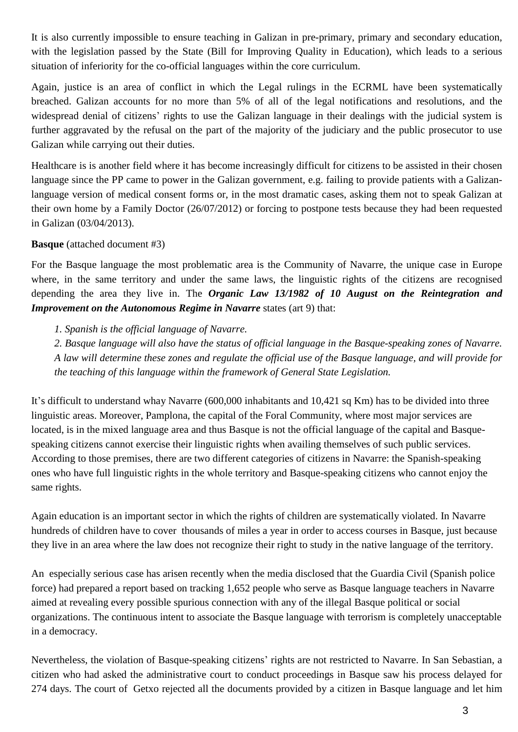It is also currently impossible to ensure teaching in Galizan in pre-primary, primary and secondary education, with the legislation passed by the State (Bill for Improving Quality in Education), which leads to a serious situation of inferiority for the co-official languages within the core curriculum.

Again, justice is an area of conflict in which the Legal rulings in the ECRML have been systematically breached. Galizan accounts for no more than 5% of all of the legal notifications and resolutions, and the widespread denial of citizens' rights to use the Galizan language in their dealings with the judicial system is further aggravated by the refusal on the part of the majority of the judiciary and the public prosecutor to use Galizan while carrying out their duties.

Healthcare is is another field where it has become increasingly difficult for citizens to be assisted in their chosen language since the PP came to power in the Galizan government, e.g. failing to provide patients with a Galizanlanguage version of medical consent forms or, in the most dramatic cases, asking them not to speak Galizan at their own home by a Family Doctor (26/07/2012) or forcing to postpone tests because they had been requested in Galizan (03/04/2013).

#### **Basque** (attached document #3)

For the Basque language the most problematic area is the Community of Navarre, the unique case in Europe where, in the same territory and under the same laws, the linguistic rights of the citizens are recognised depending the area they live in. The *Organic Law 13/1982 of 10 August on the Reintegration and Improvement on the Autonomous Regime in Navarre* states (art 9) that:

*1. Spanish is the official language of Navarre.*

2. Basque language will also have the status of official language in the Basque-speaking zones of Navarre. A law will determine these zones and regulate the official use of the Basque language, and will provide for *the teaching of this language within the framework of General State Legislation.*

It's difficult to understand whay Navarre (600,000 inhabitants and 10,421 sq Km) has to be divided into three linguistic areas. Moreover, Pamplona, the capital of the Foral Community, where most major services are located, is in the mixed language area and thus Basque is not the official language of the capital and Basquespeaking citizens cannot exercise their linguistic rights when availing themselves of such public services. According to those premises, there are two different categories of citizens in Navarre: the Spanish-speaking ones who have full linguistic rights in the whole territory and Basque-speaking citizens who cannot enjoy the same rights.

Again education is an important sector in which the rights of children are systematically violated. In Navarre hundreds of children have to cover thousands of miles a year in order to access courses in Basque, just because they live in an area where the law does not recognize their right to study in the native language of the territory.

An especially serious case has arisen recently when the media disclosed that the Guardia Civil (Spanish police force) had prepared a report based on tracking 1,652 people who serve as Basque language teachers in Navarre aimed at revealing every possible spurious connection with any of the illegal Basque political or social organizations. The continuous intent to associate the Basque language with terrorism is completely unacceptable in a democracy.

Nevertheless, the violation of Basque-speaking citizens' rights are not restricted to Navarre. In San Sebastian, a citizen who had asked the administrative court to conduct proceedings in Basque saw his process delayed for 274 days. The court of Getxo rejected all the documents provided by a citizen in Basque language and let him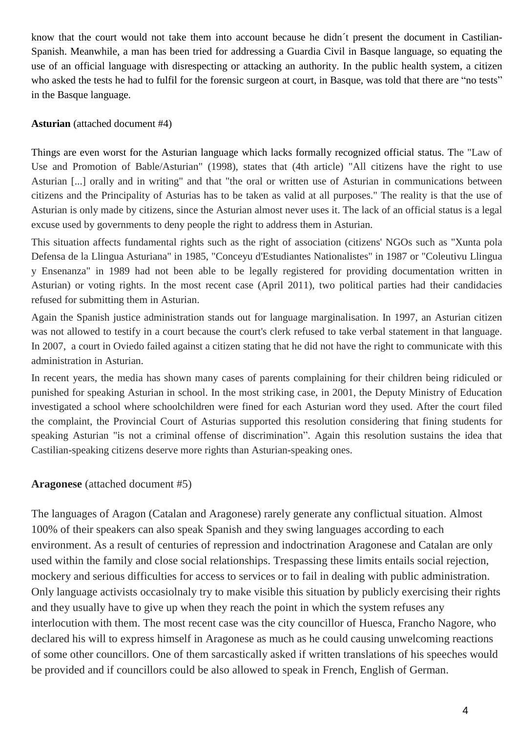know that the court would not take them into account because he didn´t present the document in Castilian-Spanish. Meanwhile, a man has been tried for addressing a Guardia Civil in Basque language, so equating the use of an official language with disrespecting or attacking an authority. In the public health system, a citizen who asked the tests he had to fulfil for the forensic surgeon at court, in Basque, was told that there are "no tests" in the Basque language.

### **Asturian** (attached document #4)

Things are even worst for the Asturian language which lacks formally recognized official status. The "Law of Use and Promotion of Bable/Asturian" (1998), states that (4th article) "All citizens have the right to use Asturian [...] orally and in writing" and that "the oral or written use of Asturian in communications between citizens and the Principality of Asturias has to be taken as valid at all purposes." The reality is that the use of Asturian is only made by citizens, since the Asturian almost never uses it. The lack of an official status is a legal excuse used by governments to deny people the right to address them in Asturian.

This situation affects fundamental rights such as the right of association (citizens' NGOs such as "Xunta pola Defensa de la Llingua Asturiana" in 1985, "Conceyu d'Estudiantes Nationalistes" in 1987 or "Coleutivu Llingua y Ensenanza" in 1989 had not been able to be legally registered for providing documentation written in Asturian) or voting rights. In the most recent case (April 2011), two political parties had their candidacies refused for submitting them in Asturian.

Again the Spanish justice administration stands out for language marginalisation. In 1997, an Asturian citizen was not allowed to testify in a court because the court's clerk refused to take verbal statement in that language. In 2007, a court in Oviedo failed against a citizen stating that he did not have the right to communicate with this administration in Asturian.

In recent years, the media has shown many cases of parents complaining for their children being ridiculed or punished for speaking Asturian in school. In the most striking case, in 2001, the Deputy Ministry of Education investigated a school where schoolchildren were fined for each Asturian word they used. After the court filed the complaint, the Provincial Court of Asturias supported this resolution considering that fining students for speaking Asturian "is not a criminal offense of discrimination". Again this resolution sustains the idea that Castilian-speaking citizens deserve more rights than Asturian-speaking ones.

# **Aragonese** (attached document #5)

The languages of Aragon (Catalan and Aragonese) rarely generate any conflictual situation. Almost 100% of their speakers can also speak Spanish and they swing languages according to each environment. As a result of centuries of repression and indoctrination Aragonese and Catalan are only used within the family and close social relationships. Trespassing these limits entails social rejection, mockery and serious difficulties for access to services or to fail in dealing with public administration. Only language activists occasiolnaly try to make visible this situation by publicly exercising their rights and they usually have to give up when they reach the point in which the system refuses any interlocution with them. The most recent case was the city councillor of Huesca, Francho Nagore, who declared his will to express himself in Aragonese as much as he could causing unwelcoming reactions of some other councillors. One of them sarcastically asked if written translations of his speeches would be provided and if councillors could be also allowed to speak in French, English of German.